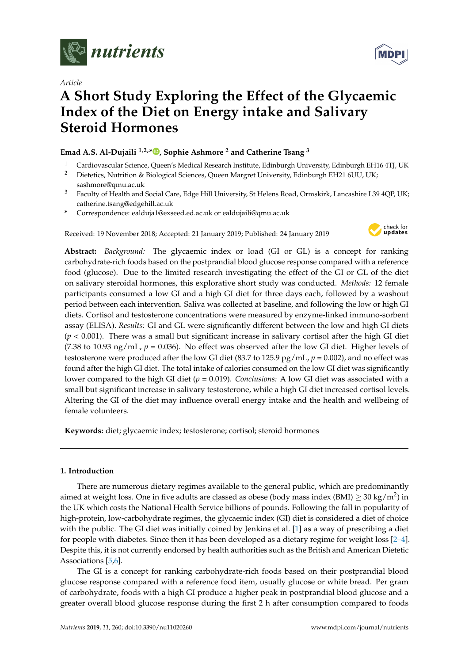

*Article*

# **MDP**

# **A Short Study Exploring the Effect of the Glycaemic Index of the Diet on Energy intake and Salivary Steroid Hormones**

## **Emad A.S. Al-Dujaili 1,2,\* [,](https://orcid.org/0000-0002-0985-7217) Sophie Ashmore <sup>2</sup> and Catherine Tsang <sup>3</sup>**

- <sup>1</sup> Cardiovascular Science, Queen's Medical Research Institute, Edinburgh University, Edinburgh EH16 4TJ, UK
- <sup>2</sup> Dietetics, Nutrition & Biological Sciences, Queen Margret University, Edinburgh EH21 6UU, UK; sashmore@qmu.ac.uk
- <sup>3</sup> Faculty of Health and Social Care, Edge Hill University, St Helens Road, Ormskirk, Lancashire L39 4QP, UK; catherine.tsang@edgehill.ac.uk
- **\*** Correspondence: ealduja1@exseed.ed.ac.uk or ealdujaili@qmu.ac.uk

Received: 19 November 2018; Accepted: 21 January 2019; Published: 24 January 2019



**Abstract:** *Background:* The glycaemic index or load (GI or GL) is a concept for ranking carbohydrate-rich foods based on the postprandial blood glucose response compared with a reference food (glucose). Due to the limited research investigating the effect of the GI or GL of the diet on salivary steroidal hormones, this explorative short study was conducted. *Methods:* 12 female participants consumed a low GI and a high GI diet for three days each, followed by a washout period between each intervention. Saliva was collected at baseline, and following the low or high GI diets. Cortisol and testosterone concentrations were measured by enzyme-linked immuno-sorbent assay (ELISA). *Results:* GI and GL were significantly different between the low and high GI diets  $(p < 0.001)$ . There was a small but significant increase in salivary cortisol after the high GI diet (7.38 to 10.93 ng/mL,  $p = 0.036$ ). No effect was observed after the low GI diet. Higher levels of testosterone were produced after the low GI diet (83.7 to 125.9 pg/mL, *p* = 0.002), and no effect was found after the high GI diet. The total intake of calories consumed on the low GI diet was significantly lower compared to the high GI diet (*p* = 0.019). *Conclusions:* A low GI diet was associated with a small but significant increase in salivary testosterone, while a high GI diet increased cortisol levels. Altering the GI of the diet may influence overall energy intake and the health and wellbeing of female volunteers.

**Keywords:** diet; glycaemic index; testosterone; cortisol; steroid hormones

## **1. Introduction**

There are numerous dietary regimes available to the general public, which are predominantly aimed at weight loss. One in five adults are classed as obese (body mass index (BMI)  $\geq 30$  kg/m<sup>2</sup>) in the UK which costs the National Health Service billions of pounds. Following the fall in popularity of high-protein, low-carbohydrate regimes, the glycaemic index (GI) diet is considered a diet of choice with the public. The GI diet was initially coined by Jenkins et al. [\[1\]](#page-9-0) as a way of prescribing a diet for people with diabetes. Since then it has been developed as a dietary regime for weight loss [\[2](#page-9-1)[–4\]](#page-9-2). Despite this, it is not currently endorsed by health authorities such as the British and American Dietetic Associations [\[5](#page-9-3)[,6\]](#page-9-4).

The GI is a concept for ranking carbohydrate-rich foods based on their postprandial blood glucose response compared with a reference food item, usually glucose or white bread. Per gram of carbohydrate, foods with a high GI produce a higher peak in postprandial blood glucose and a greater overall blood glucose response during the first 2 h after consumption compared to foods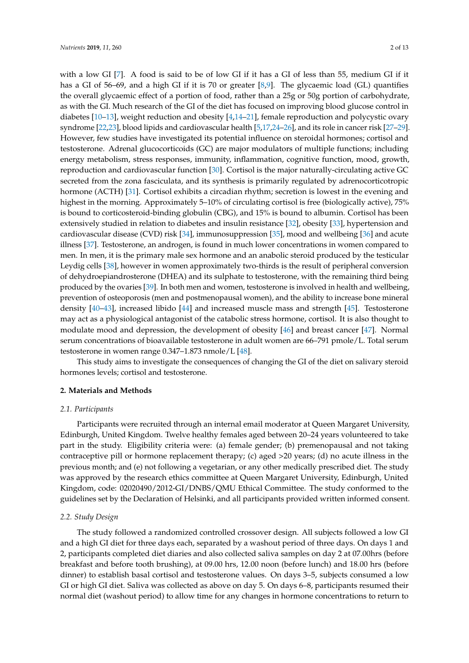with a low GI [\[7\]](#page-9-5). A food is said to be of low GI if it has a GI of less than 55, medium GI if it has a GI of 56–69, and a high GI if it is 70 or greater [\[8](#page-9-6)[,9\]](#page-9-7). The glycaemic load (GL) quantifies the overall glycaemic effect of a portion of food, rather than a 25g or 50g portion of carbohydrate, as with the GI. Much research of the GI of the diet has focused on improving blood glucose control in diabetes [\[10–](#page-9-8)[13\]](#page-9-9), weight reduction and obesity [\[4](#page-9-2)[,14–](#page-9-10)[21\]](#page-10-0), female reproduction and polycystic ovary syndrome [\[22](#page-10-1)[,23\]](#page-10-2), blood lipids and cardiovascular health [\[5,](#page-9-3)[17,](#page-10-3)[24–](#page-10-4)[26\]](#page-10-5), and its role in cancer risk [\[27–](#page-10-6)[29\]](#page-10-7). However, few studies have investigated its potential influence on steroidal hormones; cortisol and testosterone. Adrenal glucocorticoids (GC) are major modulators of multiple functions; including energy metabolism, stress responses, immunity, inflammation, cognitive function, mood, growth, reproduction and cardiovascular function [\[30\]](#page-10-8). Cortisol is the major naturally-circulating active GC secreted from the zona fasciculata, and its synthesis is primarily regulated by adrenocorticotropic hormone (ACTH) [\[31\]](#page-10-9). Cortisol exhibits a circadian rhythm; secretion is lowest in the evening and highest in the morning. Approximately 5–10% of circulating cortisol is free (biologically active), 75% is bound to corticosteroid-binding globulin (CBG), and 15% is bound to albumin. Cortisol has been extensively studied in relation to diabetes and insulin resistance [\[32\]](#page-10-10), obesity [\[33\]](#page-10-11), hypertension and cardiovascular disease (CVD) risk [\[34\]](#page-10-12), immunosuppression [\[35\]](#page-11-0), mood and wellbeing [\[36\]](#page-11-1) and acute illness [\[37\]](#page-11-2). Testosterone, an androgen, is found in much lower concentrations in women compared to men. In men, it is the primary male sex hormone and an anabolic steroid produced by the testicular Leydig cells [\[38\]](#page-11-3), however in women approximately two-thirds is the result of peripheral conversion of dehydroepiandrosterone (DHEA) and its sulphate to testosterone, with the remaining third being produced by the ovaries [\[39\]](#page-11-4). In both men and women, testosterone is involved in health and wellbeing, prevention of osteoporosis (men and postmenopausal women), and the ability to increase bone mineral density [\[40–](#page-11-5)[43\]](#page-11-6), increased libido [\[44\]](#page-11-7) and increased muscle mass and strength [\[45\]](#page-11-8). Testosterone may act as a physiological antagonist of the catabolic stress hormone, cortisol. It is also thought to modulate mood and depression, the development of obesity [\[46\]](#page-11-9) and breast cancer [\[47\]](#page-11-10). Normal serum concentrations of bioavailable testosterone in adult women are 66–791 pmole/L. Total serum testosterone in women range 0.347–1.873 nmole/L [\[48\]](#page-11-11).

This study aims to investigate the consequences of changing the GI of the diet on salivary steroid hormones levels; cortisol and testosterone.

#### **2. Materials and Methods**

#### *2.1. Participants*

Participants were recruited through an internal email moderator at Queen Margaret University, Edinburgh, United Kingdom. Twelve healthy females aged between 20–24 years volunteered to take part in the study. Eligibility criteria were: (a) female gender; (b) premenopausal and not taking contraceptive pill or hormone replacement therapy; (c) aged >20 years; (d) no acute illness in the previous month; and (e) not following a vegetarian, or any other medically prescribed diet. The study was approved by the research ethics committee at Queen Margaret University, Edinburgh, United Kingdom, code: 02020490/2012-GI/DNBS/QMU Ethical Committee. The study conformed to the guidelines set by the Declaration of Helsinki, and all participants provided written informed consent.

#### *2.2. Study Design*

The study followed a randomized controlled crossover design. All subjects followed a low GI and a high GI diet for three days each, separated by a washout period of three days. On days 1 and 2, participants completed diet diaries and also collected saliva samples on day 2 at 07.00hrs (before breakfast and before tooth brushing), at 09.00 hrs, 12.00 noon (before lunch) and 18.00 hrs (before dinner) to establish basal cortisol and testosterone values. On days 3–5, subjects consumed a low GI or high GI diet. Saliva was collected as above on day 5. On days 6–8, participants resumed their normal diet (washout period) to allow time for any changes in hormone concentrations to return to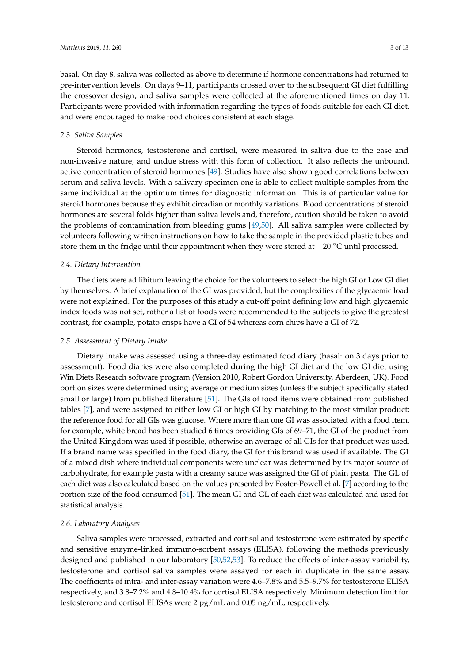basal. On day 8, saliva was collected as above to determine if hormone concentrations had returned to pre-intervention levels. On days 9–11, participants crossed over to the subsequent GI diet fulfilling the crossover design, and saliva samples were collected at the aforementioned times on day 11. Participants were provided with information regarding the types of foods suitable for each GI diet, and were encouraged to make food choices consistent at each stage.

#### *2.3. Saliva Samples*

Steroid hormones, testosterone and cortisol, were measured in saliva due to the ease and non-invasive nature, and undue stress with this form of collection. It also reflects the unbound, active concentration of steroid hormones [\[49\]](#page-11-12). Studies have also shown good correlations between serum and saliva levels. With a salivary specimen one is able to collect multiple samples from the same individual at the optimum times for diagnostic information. This is of particular value for steroid hormones because they exhibit circadian or monthly variations. Blood concentrations of steroid hormones are several folds higher than saliva levels and, therefore, caution should be taken to avoid the problems of contamination from bleeding gums [\[49,](#page-11-12)[50\]](#page-11-13). All saliva samples were collected by volunteers following written instructions on how to take the sample in the provided plastic tubes and store them in the fridge until their appointment when they were stored at −20 °C until processed.

#### *2.4. Dietary Intervention*

The diets were ad libitum leaving the choice for the volunteers to select the high GI or Low GI diet by themselves. A brief explanation of the GI was provided, but the complexities of the glycaemic load were not explained. For the purposes of this study a cut-off point defining low and high glycaemic index foods was not set, rather a list of foods were recommended to the subjects to give the greatest contrast, for example, potato crisps have a GI of 54 whereas corn chips have a GI of 72.

#### *2.5. Assessment of Dietary Intake*

Dietary intake was assessed using a three-day estimated food diary (basal: on 3 days prior to assessment). Food diaries were also completed during the high GI diet and the low GI diet using Win Diets Research software program (Version 2010, Robert Gordon University, Aberdeen, UK). Food portion sizes were determined using average or medium sizes (unless the subject specifically stated small or large) from published literature [\[51\]](#page-11-14). The GIs of food items were obtained from published tables [\[7\]](#page-9-5), and were assigned to either low GI or high GI by matching to the most similar product; the reference food for all GIs was glucose. Where more than one GI was associated with a food item, for example, white bread has been studied 6 times providing GIs of 69–71, the GI of the product from the United Kingdom was used if possible, otherwise an average of all GIs for that product was used. If a brand name was specified in the food diary, the GI for this brand was used if available. The GI of a mixed dish where individual components were unclear was determined by its major source of carbohydrate, for example pasta with a creamy sauce was assigned the GI of plain pasta. The GL of each diet was also calculated based on the values presented by Foster-Powell et al. [\[7\]](#page-9-5) according to the portion size of the food consumed [\[51\]](#page-11-14). The mean GI and GL of each diet was calculated and used for statistical analysis.

#### *2.6. Laboratory Analyses*

Saliva samples were processed, extracted and cortisol and testosterone were estimated by specific and sensitive enzyme-linked immuno-sorbent assays (ELISA), following the methods previously designed and published in our laboratory [\[50](#page-11-13)[,52](#page-11-15)[,53\]](#page-11-16). To reduce the effects of inter-assay variability, testosterone and cortisol saliva samples were assayed for each in duplicate in the same assay. The coefficients of intra- and inter-assay variation were 4.6–7.8% and 5.5–9.7% for testosterone ELISA respectively, and 3.8–7.2% and 4.8–10.4% for cortisol ELISA respectively. Minimum detection limit for testosterone and cortisol ELISAs were 2 pg/mL and 0.05 ng/mL, respectively.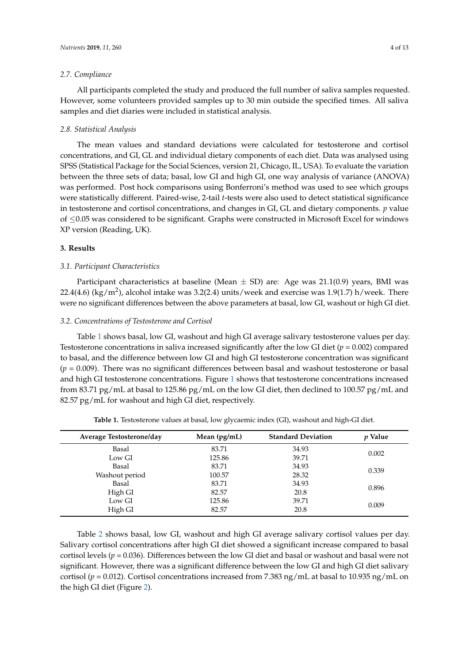#### *2.7. Compliance*

All participants completed the study and produced the full number of saliva samples requested. However, some volunteers provided samples up to 30 min outside the specified times. All saliva samples and diet diaries were included in statistical analysis.

#### *2.8. Statistical Analysis*

The mean values and standard deviations were calculated for testosterone and cortisol concentrations, and GI, GL and individual dietary components of each diet. Data was analysed using SPSS (Statistical Package for the Social Sciences, version 21, Chicago, IL, USA). To evaluate the variation between the three sets of data; basal, low GI and high GI, one way analysis of variance (ANOVA) was performed. Post hock comparisons using Bonferroni's method was used to see which groups were statistically different. Paired-wise, 2-tail *t*-tests were also used to detect statistical significance in testosterone and cortisol concentrations, and changes in GI, GL and dietary components. *p* value of ≤0.05 was considered to be significant. Graphs were constructed in Microsoft Excel for windows XP version (Reading, UK).

#### **3. Results**

#### *3.1. Participant Characteristics*

Participant characteristics at baseline (Mean  $\pm$  SD) are: Age was 21.1(0.9) years, BMI was 22.4(4.6) (kg/m<sup>2</sup>), alcohol intake was 3.2(2.4) units/week and exercise was 1.9(1.7) h/week. There were no significant differences between the above parameters at basal, low GI, washout or high GI diet.

#### *3.2. Concentrations of Testosterone and Cortisol*

Table [1](#page-3-0) shows basal, low GI, washout and high GI average salivary testosterone values per day. Testosterone concentrations in saliva increased significantly after the low GI diet (*p* = 0.002) compared to basal, and the difference between low GI and high GI testosterone concentration was significant (*p* = 0.009). There was no significant differences between basal and washout testosterone or basal and high GI testosterone concentrations. Figure [1](#page-4-0) shows that testosterone concentrations increased from 83.71 pg/mL at basal to 125.86 pg/mL on the low GI diet, then declined to 100.57 pg/mL and 82.57 pg/mL for washout and high GI diet, respectively.

<span id="page-3-0"></span>

| Average Testosterone/day | Mean $(pg/mL)$ | <b>Standard Deviation</b> | <i>v</i> Value |  |
|--------------------------|----------------|---------------------------|----------------|--|
| Basal                    | 83.71          | 34.93                     | 0.002          |  |
| Low GI                   | 125.86         | 39.71                     |                |  |
| Basal                    | 83.71          | 34.93                     | 0.339          |  |
| Washout period           | 100.57         | 28.32                     |                |  |
| Basal                    | 83.71          | 34.93                     | 0.896          |  |
| High GI                  | 82.57          | 20.8                      |                |  |
| Low GI                   | 125.86         | 39.71                     | 0.009          |  |
| High GI                  | 82.57          | 20.8                      |                |  |

|  |  | Table 1. Testosterone values at basal, low glycaemic index (GI), washout and high-GI diet. |
|--|--|--------------------------------------------------------------------------------------------|
|--|--|--------------------------------------------------------------------------------------------|

Table [2](#page-4-1) shows basal, low GI, washout and high GI average salivary cortisol values per day. Salivary cortisol concentrations after high GI diet showed a significant increase compared to basal cortisol levels ( $p = 0.036$ ). Differences between the low GI diet and basal or washout and basal were not significant. However, there was a significant difference between the low GI and high GI diet salivary cortisol (*p* = 0.012). Cortisol concentrations increased from 7.383 ng/mL at basal to 10.935 ng/mL on the high GI diet (Figure [2\)](#page-4-2).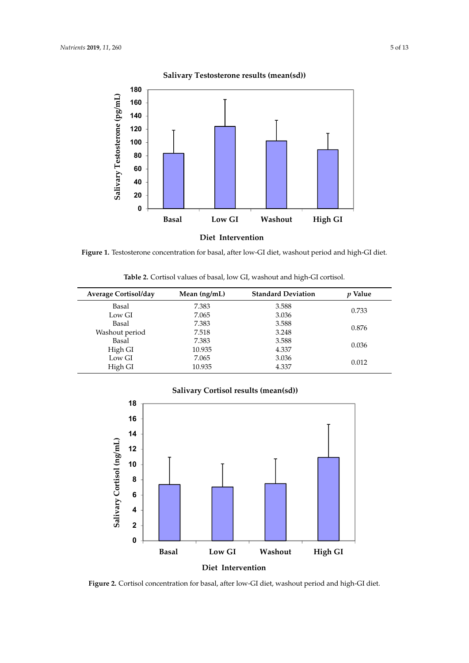<span id="page-4-0"></span>

**Figure 1.** Testosterone concentration for basal, after low-GI diet, washout period and high-GI diet.

<span id="page-4-1"></span>

| <b>Average Cortisol/day</b> | Mean (ng/mL) | <b>Standard Deviation</b> | <i>v</i> Value |  |
|-----------------------------|--------------|---------------------------|----------------|--|
| Basal                       | 7.383        | 3.588                     | 0.733          |  |
| Low GI                      | 7.065        | 3.036                     |                |  |
| Basal                       | 7.383        | 3.588                     | 0.876          |  |
| Washout period              | 7.518        | 3.248                     |                |  |
| Basal                       | 7.383        | 3.588                     | 0.036          |  |
| High GI                     | 10.935       | 4.337                     |                |  |
| Low GI                      | 7.065        | 3.036                     | 0.012          |  |
| High GI                     | 10.935       | 4.337                     |                |  |

**Table 2.** Cortisol values of basal, low GI, washout and high-GI cortisol.

# **Salivary Cortisol results (mean(sd))**

<span id="page-4-2"></span>

**Figure 2.** Cortisol concentration for basal, after low-GI diet, washout period and high-GI diet.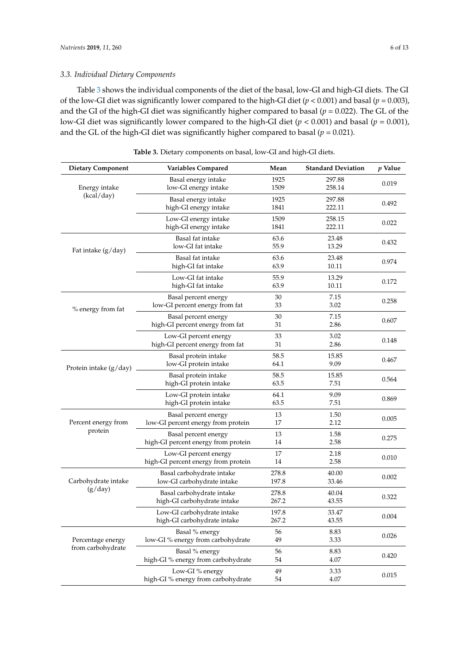Table [3](#page-6-0) shows the individual components of the diet of the basal, low-GI and high-GI diets. The GI of the low-GI diet was significantly lower compared to the high-GI diet (*p* < 0.001) and basal (*p* = 0.003), and the GI of the high-GI diet was significantly higher compared to basal ( $p = 0.022$ ). The GL of the low-GI diet was significantly lower compared to the high-GI diet (*p* < 0.001) and basal (*p* = 0.001), and the GL of the high-GI diet was significantly higher compared to basal  $(p = 0.021)$ .

| <b>Dietary Component</b>               | Variables Compared                                           | Mean           | <b>Standard Deviation</b> | $p$ Value |
|----------------------------------------|--------------------------------------------------------------|----------------|---------------------------|-----------|
| Energy intake<br>(kcal/day)            | Basal energy intake<br>low-GI energy intake                  | 1925<br>1509   | 297.88<br>258.14          | 0.019     |
|                                        | Basal energy intake<br>high-GI energy intake                 | 1925<br>1841   | 297.88<br>222.11          | 0.492     |
|                                        | Low-GI energy intake<br>high-GI energy intake                | 1509<br>1841   | 258.15<br>222.11          | 0.022     |
|                                        | Basal fat intake<br>low-GI fat intake                        | 63.6<br>55.9   | 23.48<br>13.29            | 0.432     |
| Fat intake (g/day)                     | Basal fat intake<br>high-GI fat intake                       | 63.6<br>63.9   | 23.48<br>10.11            | 0.974     |
|                                        | Low-GI fat intake<br>high-GI fat intake                      | 55.9<br>63.9   | 13.29<br>10.11            | 0.172     |
| % energy from fat                      | Basal percent energy<br>low-GI percent energy from fat       | 30<br>33       | 7.15<br>3.02              | 0.258     |
|                                        | Basal percent energy<br>high-GI percent energy from fat      | 30<br>31       | 7.15<br>2.86              | 0.607     |
|                                        | Low-GI percent energy<br>high-GI percent energy from fat     | 33<br>31       | 3.02<br>2.86              | 0.148     |
|                                        | Basal protein intake<br>low-GI protein intake                | 58.5<br>64.1   | 15.85<br>9.09             | 0.467     |
| Protein intake $(g/day)$               | Basal protein intake<br>high-GI protein intake               | 58.5<br>63.5   | 15.85<br>7.51             | 0.564     |
|                                        | Low-GI protein intake<br>high-GI protein intake              | 64.1<br>63.5   | 9.09<br>7.51              | 0.869     |
| Percent energy from                    | Basal percent energy<br>low-GI percent energy from protein   | 13<br>17       | 1.50<br>2.12              | 0.005     |
| protein                                | Basal percent energy<br>high-GI percent energy from protein  | 13<br>14       | 1.58<br>2.58              | 0.275     |
|                                        | Low-GI percent energy<br>high-GI percent energy from protein | 17<br>14       | 2.18<br>2.58              | 0.010     |
| Carbohydrate intake<br>(g/day)         | Basal carbohydrate intake<br>low-GI carbohydrate intake      | 278.8<br>197.8 | 40.00<br>33.46            | 0.002     |
|                                        | Basal carbohydrate intake<br>high-GI carbohydrate intake     | 278.8<br>267.2 | 40.04<br>43.55            | 0.322     |
|                                        | Low-GI carbohydrate intake<br>high-GI carbohydrate intake    | 197.8<br>267.2 | 33.47<br>43.55            | 0.004     |
| Percentage energy<br>from carbohydrate | Basal % energy<br>low-GI % energy from carbohydrate          | 56<br>49       | 8.83<br>3.33              | 0.026     |
|                                        | Basal % energy<br>high-GI % energy from carbohydrate         | 56<br>54       | 8.83<br>4.07              | 0.420     |
|                                        | Low-GI % energy<br>high-GI % energy from carbohydrate        | 49<br>54       | 3.33<br>4.07              | 0.015     |

**Table 3.** Dietary components on basal, low-GI and high-GI diets.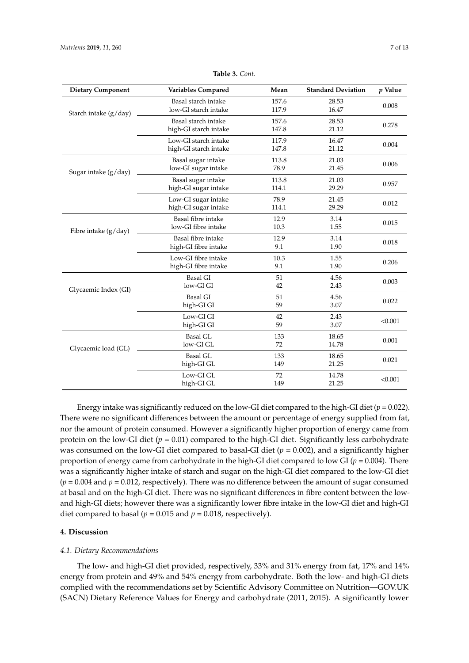<span id="page-6-0"></span>

| <b>Dietary Component</b> | Variables Compared    | Mean  | <b>Standard Deviation</b> | p Value |
|--------------------------|-----------------------|-------|---------------------------|---------|
|                          | Basal starch intake   | 157.6 | 28.53                     |         |
| Starch intake (g/day)    | low-GI starch intake  | 117.9 | 16.47                     | 0.008   |
|                          | Basal starch intake   | 157.6 | 28.53                     |         |
|                          | high-GI starch intake | 147.8 | 21.12                     | 0.278   |
|                          | Low-GI starch intake  | 117.9 | 16.47                     | 0.004   |
|                          | high-GI starch intake | 147.8 | 21.12                     |         |
|                          | Basal sugar intake    | 113.8 | 21.03                     |         |
| Sugar intake $(g/day)$   | low-GI sugar intake   | 78.9  | 21.45                     | 0.006   |
|                          | Basal sugar intake    | 113.8 | 21.03                     |         |
|                          | high-GI sugar intake  | 114.1 | 29.29                     | 0.957   |
|                          | Low-GI sugar intake   | 78.9  | 21.45                     |         |
|                          | high-GI sugar intake  | 114.1 | 29.29                     | 0.012   |
|                          | Basal fibre intake    | 12.9  | 3.14                      | 0.015   |
| Fibre intake (g/day)     | low-GI fibre intake   | 10.3  | 1.55                      |         |
|                          | Basal fibre intake    | 12.9  | 3.14                      | 0.018   |
|                          | high-GI fibre intake  | 9.1   | 1.90                      |         |
|                          | Low-GI fibre intake   | 10.3  | 1.55                      | 0.206   |
|                          | high-GI fibre intake  | 9.1   | 1.90                      |         |
|                          | <b>Basal GI</b>       | 51    | 4.56                      | 0.003   |
| Glycaemic Index (GI)     | low-GI GI             | 42    | 2.43                      |         |
|                          | <b>Basal GI</b>       | 51    | 4.56                      | 0.022   |
|                          | high-GI GI            | 59    | 3.07                      |         |
|                          | Low-GI GI             | 42    | 2.43                      |         |
|                          | high-GI GI            | 59    | 3.07                      | < 0.001 |
|                          | <b>Basal GL</b>       | 133   | 18.65                     |         |
| Glycaemic load (GL)      | low-GI GL             | 72    | 14.78                     | 0.001   |
|                          |                       |       |                           |         |

**Table 3.** *Cont.*

Energy intake was significantly reduced on the low-GI diet compared to the high-GI diet (*p* = 0.022). There were no significant differences between the amount or percentage of energy supplied from fat, nor the amount of protein consumed. However a significantly higher proportion of energy came from protein on the low-GI diet ( $p = 0.01$ ) compared to the high-GI diet. Significantly less carbohydrate was consumed on the low-GI diet compared to basal-GI diet  $(p = 0.002)$ , and a significantly higher proportion of energy came from carbohydrate in the high-GI diet compared to low GI ( $p = 0.004$ ). There was a significantly higher intake of starch and sugar on the high-GI diet compared to the low-GI diet  $(p = 0.004$  and  $p = 0.012$ , respectively). There was no difference between the amount of sugar consumed at basal and on the high-GI diet. There was no significant differences in fibre content between the lowand high-GI diets; however there was a significantly lower fibre intake in the low-GI diet and high-GI diet compared to basal ( $p = 0.015$  and  $p = 0.018$ , respectively).

133 149

72 149 18.65

14.78

 $^{10.03}_{21.25}$  0.021

 $21.25$  <0.001

Basal GL high-GI GL

Low-GI GL high-GI GL

#### **4. Discussion**

#### *4.1. Dietary Recommendations*

The low- and high-GI diet provided, respectively, 33% and 31% energy from fat, 17% and 14% energy from protein and 49% and 54% energy from carbohydrate. Both the low- and high-GI diets complied with the recommendations set by Scientific Advisory Committee on Nutrition—GOV.UK (SACN) Dietary Reference Values for Energy and carbohydrate (2011, 2015). A significantly lower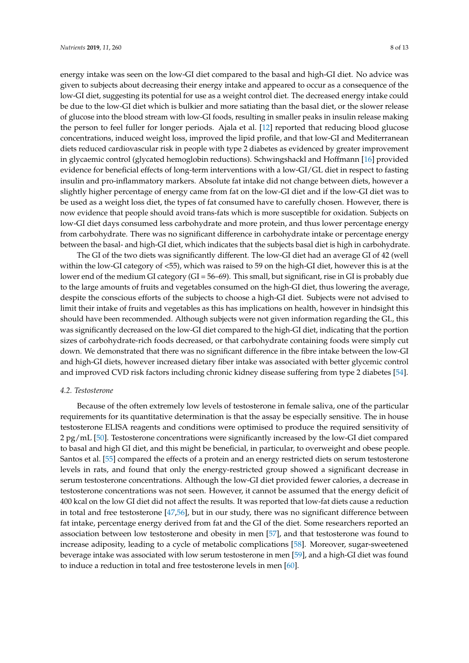energy intake was seen on the low-GI diet compared to the basal and high-GI diet. No advice was given to subjects about decreasing their energy intake and appeared to occur as a consequence of the low-GI diet, suggesting its potential for use as a weight control diet. The decreased energy intake could be due to the low-GI diet which is bulkier and more satiating than the basal diet, or the slower release of glucose into the blood stream with low-GI foods, resulting in smaller peaks in insulin release making the person to feel fuller for longer periods. Ajala et al. [\[12\]](#page-9-11) reported that reducing blood glucose concentrations, induced weight loss, improved the lipid profile, and that low-GI and Mediterranean diets reduced cardiovascular risk in people with type 2 diabetes as evidenced by greater improvement in glycaemic control (glycated hemoglobin reductions). Schwingshackl and Hoffmann [\[16\]](#page-10-13) provided evidence for beneficial effects of long-term interventions with a low-GI/GL diet in respect to fasting insulin and pro-inflammatory markers. Absolute fat intake did not change between diets, however a slightly higher percentage of energy came from fat on the low-GI diet and if the low-GI diet was to be used as a weight loss diet, the types of fat consumed have to carefully chosen. However, there is now evidence that people should avoid trans-fats which is more susceptible for oxidation. Subjects on low-GI diet days consumed less carbohydrate and more protein, and thus lower percentage energy from carbohydrate. There was no significant difference in carbohydrate intake or percentage energy between the basal- and high-GI diet, which indicates that the subjects basal diet is high in carbohydrate.

The GI of the two diets was significantly different. The low-GI diet had an average GI of 42 (well within the low-GI category of <55), which was raised to 59 on the high-GI diet, however this is at the lower end of the medium GI category (GI = 56–69). This small, but significant, rise in GI is probably due to the large amounts of fruits and vegetables consumed on the high-GI diet, thus lowering the average, despite the conscious efforts of the subjects to choose a high-GI diet. Subjects were not advised to limit their intake of fruits and vegetables as this has implications on health, however in hindsight this should have been recommended. Although subjects were not given information regarding the GL, this was significantly decreased on the low-GI diet compared to the high-GI diet, indicating that the portion sizes of carbohydrate-rich foods decreased, or that carbohydrate containing foods were simply cut down. We demonstrated that there was no significant difference in the fibre intake between the low-GI and high-GI diets, however increased dietary fiber intake was associated with better glycemic control and improved CVD risk factors including chronic kidney disease suffering from type 2 diabetes [\[54\]](#page-11-17).

#### *4.2. Testosterone*

Because of the often extremely low levels of testosterone in female saliva, one of the particular requirements for its quantitative determination is that the assay be especially sensitive. The in house testosterone ELISA reagents and conditions were optimised to produce the required sensitivity of 2 pg/mL [\[50\]](#page-11-13). Testosterone concentrations were significantly increased by the low-GI diet compared to basal and high GI diet, and this might be beneficial, in particular, to overweight and obese people. Santos et al. [\[55\]](#page-11-18) compared the effects of a protein and an energy restricted diets on serum testosterone levels in rats, and found that only the energy-restricted group showed a significant decrease in serum testosterone concentrations. Although the low-GI diet provided fewer calories, a decrease in testosterone concentrations was not seen. However, it cannot be assumed that the energy deficit of 400 kcal on the low GI diet did not affect the results. It was reported that low-fat diets cause a reduction in total and free testosterone [\[47,](#page-11-10)[56\]](#page-12-0), but in our study, there was no significant difference between fat intake, percentage energy derived from fat and the GI of the diet. Some researchers reported an association between low testosterone and obesity in men [\[57\]](#page-12-1), and that testosterone was found to increase adiposity, leading to a cycle of metabolic complications [\[58\]](#page-12-2). Moreover, sugar-sweetened beverage intake was associated with low serum testosterone in men [\[59\]](#page-12-3), and a high-GI diet was found to induce a reduction in total and free testosterone levels in men [\[60\]](#page-12-4).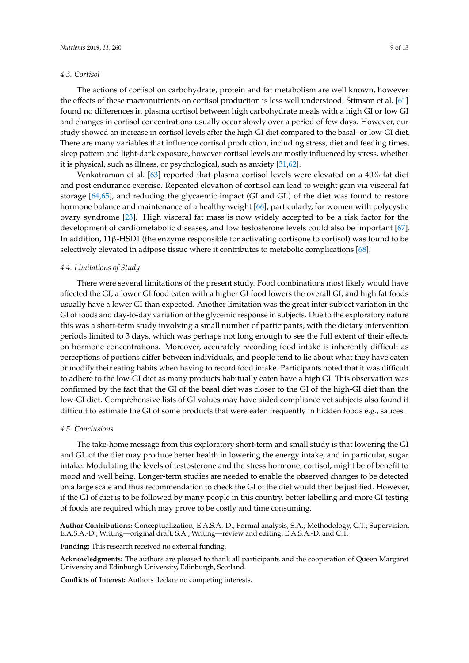#### *4.3. Cortisol*

The actions of cortisol on carbohydrate, protein and fat metabolism are well known, however the effects of these macronutrients on cortisol production is less well understood. Stimson et al. [\[61\]](#page-12-5) found no differences in plasma cortisol between high carbohydrate meals with a high GI or low GI and changes in cortisol concentrations usually occur slowly over a period of few days. However, our study showed an increase in cortisol levels after the high-GI diet compared to the basal- or low-GI diet. There are many variables that influence cortisol production, including stress, diet and feeding times, sleep pattern and light-dark exposure, however cortisol levels are mostly influenced by stress, whether it is physical, such as illness, or psychological, such as anxiety [\[31](#page-10-9)[,62\]](#page-12-6).

Venkatraman et al. [\[63\]](#page-12-7) reported that plasma cortisol levels were elevated on a 40% fat diet and post endurance exercise. Repeated elevation of cortisol can lead to weight gain via visceral fat storage [\[64,](#page-12-8)[65\]](#page-12-9), and reducing the glycaemic impact (GI and GL) of the diet was found to restore hormone balance and maintenance of a healthy weight [\[66\]](#page-12-10), particularly, for women with polycystic ovary syndrome [\[23\]](#page-10-2). High visceral fat mass is now widely accepted to be a risk factor for the development of cardiometabolic diseases, and low testosterone levels could also be important [\[67\]](#page-12-11). In addition, 11β-HSD1 (the enzyme responsible for activating cortisone to cortisol) was found to be selectively elevated in adipose tissue where it contributes to metabolic complications [\[68\]](#page-12-12).

#### *4.4. Limitations of Study*

There were several limitations of the present study. Food combinations most likely would have affected the GI; a lower GI food eaten with a higher GI food lowers the overall GI, and high fat foods usually have a lower GI than expected. Another limitation was the great inter-subject variation in the GI of foods and day-to-day variation of the glycemic response in subjects. Due to the exploratory nature this was a short-term study involving a small number of participants, with the dietary intervention periods limited to 3 days, which was perhaps not long enough to see the full extent of their effects on hormone concentrations. Moreover, accurately recording food intake is inherently difficult as perceptions of portions differ between individuals, and people tend to lie about what they have eaten or modify their eating habits when having to record food intake. Participants noted that it was difficult to adhere to the low-GI diet as many products habitually eaten have a high GI. This observation was confirmed by the fact that the GI of the basal diet was closer to the GI of the high-GI diet than the low-GI diet. Comprehensive lists of GI values may have aided compliance yet subjects also found it difficult to estimate the GI of some products that were eaten frequently in hidden foods e.g., sauces.

#### *4.5. Conclusions*

The take-home message from this exploratory short-term and small study is that lowering the GI and GL of the diet may produce better health in lowering the energy intake, and in particular, sugar intake. Modulating the levels of testosterone and the stress hormone, cortisol, might be of benefit to mood and well being. Longer-term studies are needed to enable the observed changes to be detected on a large scale and thus recommendation to check the GI of the diet would then be justified. However, if the GI of diet is to be followed by many people in this country, better labelling and more GI testing of foods are required which may prove to be costly and time consuming.

**Author Contributions:** Conceptualization, E.A.S.A.-D.; Formal analysis, S.A.; Methodology, C.T.; Supervision, E.A.S.A.-D.; Writing—original draft, S.A.; Writing—review and editing, E.A.S.A.-D. and C.T.

**Funding:** This research received no external funding.

**Acknowledgments:** The authors are pleased to thank all participants and the cooperation of Queen Margaret University and Edinburgh University, Edinburgh, Scotland.

**Conflicts of Interest:** Authors declare no competing interests.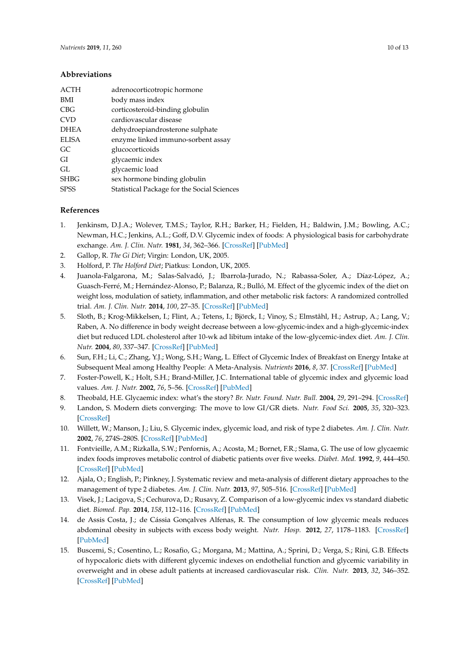#### **Abbreviations**

| <b>ACTH</b>  | adrenocorticotropic hormone                 |
|--------------|---------------------------------------------|
| BMI          | body mass index                             |
| <b>CBG</b>   | corticosteroid-binding globulin             |
| <b>CVD</b>   | cardiovascular disease                      |
| <b>DHEA</b>  | dehydroepiandrosterone sulphate             |
| <b>ELISA</b> | enzyme linked immuno-sorbent assay          |
| GC           | glucocorticoids                             |
| GI           | glycaemic index                             |
| GL.          | glycaemic load                              |
| <b>SHBG</b>  | sex hormone binding globulin                |
| <b>SPSS</b>  | Statistical Package for the Social Sciences |
|              |                                             |

#### **References**

- <span id="page-9-0"></span>1. Jenkinsm, D.J.A.; Wolever, T.M.S.; Taylor, R.H.; Barker, H.; Fielden, H.; Baldwin, J.M.; Bowling, A.C.; Newman, H.C.; Jenkins, A.L.; Goff, D.V. Glycemic index of foods: A physiological basis for carbohydrate exchange. *Am. J. Clin. Nutr.* **1981**, *34*, 362–366. [\[CrossRef\]](http://dx.doi.org/10.1093/ajcn/34.3.362) [\[PubMed\]](http://www.ncbi.nlm.nih.gov/pubmed/6259925)
- <span id="page-9-1"></span>2. Gallop, R. *The Gi Diet*; Virgin: London, UK, 2005.
- 3. Holford, P. *The Holford Diet*; Piatkus: London, UK, 2005.
- <span id="page-9-2"></span>4. Juanola-Falgarona, M.; Salas-Salvadó, J.; Ibarrola-Jurado, N.; Rabassa-Soler, A.; Díaz-López, A.; Guasch-Ferré, M.; Hernández-Alonso, P.; Balanza, R.; Bulló, M. Effect of the glycemic index of the diet on weight loss, modulation of satiety, inflammation, and other metabolic risk factors: A randomized controlled trial. *Am. J. Clin. Nutr.* **2014**, *100*, 27–35. [\[CrossRef\]](http://dx.doi.org/10.3945/ajcn.113.081216) [\[PubMed\]](http://www.ncbi.nlm.nih.gov/pubmed/24787494)
- <span id="page-9-3"></span>5. Sloth, B.; Krog-Mikkelsen, I.; Flint, A.; Tetens, I.; Björck, I.; Vinoy, S.; Elmståhl, H.; Astrup, A.; Lang, V.; Raben, A. No difference in body weight decrease between a low-glycemic-index and a high-glycemic-index diet but reduced LDL cholesterol after 10-wk ad libitum intake of the low-glycemic-index diet. *Am. J. Clin. Nutr.* **2004**, *80*, 337–347. [\[CrossRef\]](http://dx.doi.org/10.1093/ajcn/80.2.337) [\[PubMed\]](http://www.ncbi.nlm.nih.gov/pubmed/15277154)
- <span id="page-9-4"></span>6. Sun, F.H.; Li, C.; Zhang, Y.J.; Wong, S.H.; Wang, L. Effect of Glycemic Index of Breakfast on Energy Intake at Subsequent Meal among Healthy People: A Meta-Analysis. *Nutrients* **2016**, *8*, 37. [\[CrossRef\]](http://dx.doi.org/10.3390/nu8010037) [\[PubMed\]](http://www.ncbi.nlm.nih.gov/pubmed/26742058)
- <span id="page-9-5"></span>7. Foster-Powell, K.; Holt, S.H.; Brand-Miller, J.C. International table of glycemic index and glycemic load values. *Am. J. Nutr.* **2002**, *76*, 5–56. [\[CrossRef\]](http://dx.doi.org/10.1093/ajcn/76.1.5) [\[PubMed\]](http://www.ncbi.nlm.nih.gov/pubmed/12081815)
- <span id="page-9-6"></span>8. Theobald, H.E. Glycaemic index: what's the story? *Br. Nutr. Found. Nutr. Bull.* **2004**, *29*, 291–294. [\[CrossRef\]](http://dx.doi.org/10.1111/j.1467-3010.2004.00452.x)
- <span id="page-9-7"></span>9. Landon, S. Modern diets converging: The move to low GI/GR diets. *Nutr. Food Sci.* **2005**, *35*, 320–323. [\[CrossRef\]](http://dx.doi.org/10.1108/00346650510625511)
- <span id="page-9-8"></span>10. Willett, W.; Manson, J.; Liu, S. Glycemic index, glycemic load, and risk of type 2 diabetes. *Am. J. Clin. Nutr.* **2002**, *76*, 274S–280S. [\[CrossRef\]](http://dx.doi.org/10.1093/ajcn/76.1.274S) [\[PubMed\]](http://www.ncbi.nlm.nih.gov/pubmed/12081851)
- 11. Fontvieille, A.M.; Rizkalla, S.W.; Penfornis, A.; Acosta, M.; Bornet, F.R.; Slama, G. The use of low glycaemic index foods improves metabolic control of diabetic patients over five weeks. *Diabet. Med.* **1992**, *9*, 444–450. [\[CrossRef\]](http://dx.doi.org/10.1111/j.1464-5491.1992.tb01815.x) [\[PubMed\]](http://www.ncbi.nlm.nih.gov/pubmed/1611832)
- <span id="page-9-11"></span>12. Ajala, O.; English, P.; Pinkney, J. Systematic review and meta-analysis of different dietary approaches to the management of type 2 diabetes. *Am. J. Clin. Nutr.* **2013**, *97*, 505–516. [\[CrossRef\]](http://dx.doi.org/10.3945/ajcn.112.042457) [\[PubMed\]](http://www.ncbi.nlm.nih.gov/pubmed/23364002)
- <span id="page-9-9"></span>13. Visek, J.; Lacigova, S.; Cechurova, D.; Rusavy, Z. Comparison of a low-glycemic index vs standard diabetic diet. *Biomed. Pap.* **2014**, *158*, 112–116. [\[CrossRef\]](http://dx.doi.org/10.5507/bp.2012.103) [\[PubMed\]](http://www.ncbi.nlm.nih.gov/pubmed/23235718)
- <span id="page-9-10"></span>14. de Assis Costa, J.; de Cássia Gonçalves Alfenas, R. The consumption of low glycemic meals reduces abdominal obesity in subjects with excess body weight. *Nutr. Hosp.* **2012**, *27*, 1178–1183. [\[CrossRef\]](http://dx.doi.org/10.3305/nh.2012.27.4.5845) [\[PubMed\]](http://www.ncbi.nlm.nih.gov/pubmed/23165560)
- 15. Buscemi, S.; Cosentino, L.; Rosafio, G.; Morgana, M.; Mattina, A.; Sprini, D.; Verga, S.; Rini, G.B. Effects of hypocaloric diets with different glycemic indexes on endothelial function and glycemic variability in overweight and in obese adult patients at increased cardiovascular risk. *Clin. Nutr.* **2013**, *32*, 346–352. [\[CrossRef\]](http://dx.doi.org/10.1016/j.clnu.2012.10.006) [\[PubMed\]](http://www.ncbi.nlm.nih.gov/pubmed/23111004)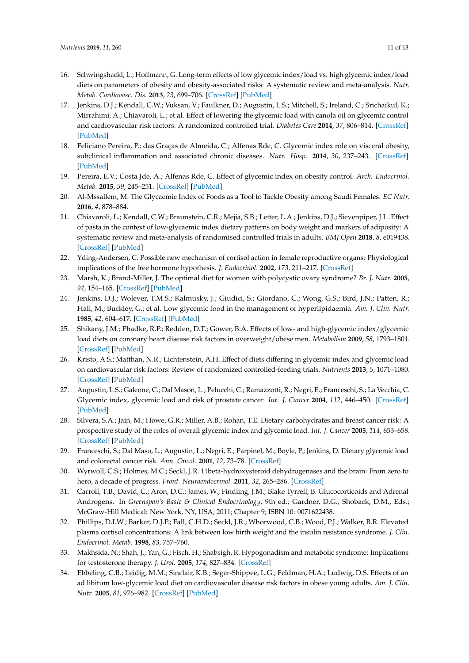- <span id="page-10-13"></span>16. Schwingshackl, L.; Hoffmann, G. Long-term effects of low glycemic index/load vs. high glycemic index/load diets on parameters of obesity and obesity-associated risks: A systematic review and meta-analysis. *Nutr. Metab. Cardiovasc. Dis.* **2013**, *23*, 699–706. [\[CrossRef\]](http://dx.doi.org/10.1016/j.numecd.2013.04.008) [\[PubMed\]](http://www.ncbi.nlm.nih.gov/pubmed/23786819)
- <span id="page-10-3"></span>17. Jenkins, D.J.; Kendall, C.W.; Vuksan, V.; Faulkner, D.; Augustin, L.S.; Mitchell, S.; Ireland, C.; Srichaikul, K.; Mirrahimi, A.; Chiavaroli, L.; et al. Effect of lowering the glycemic load with canola oil on glycemic control and cardiovascular risk factors: A randomized controlled trial. *Diabetes Care* **2014**, *37*, 806–814. [\[CrossRef\]](http://dx.doi.org/10.2337/dc13-2990) [\[PubMed\]](http://www.ncbi.nlm.nih.gov/pubmed/24929428)
- 18. Feliciano Pereira, P.; das Graças de Almeida, C.; Alfenas Rde, C. Glycemic index role on visceral obesity, subclinical inflammation and associated chronic diseases. *Nutr. Hosp.* **2014**, *30*, 237–243. [\[CrossRef\]](http://dx.doi.org/10.3305/nh.2014.30.2.7506) [\[PubMed\]](http://www.ncbi.nlm.nih.gov/pubmed/25208774)
- 19. Pereira, E.V.; Costa Jde, A.; Alfenas Rde, C. Effect of glycemic index on obesity control. *Arch. Endocrinol. Metab.* **2015**, *59*, 245–251. [\[CrossRef\]](http://dx.doi.org/10.1590/2359-3997000000045) [\[PubMed\]](http://www.ncbi.nlm.nih.gov/pubmed/26154093)
- 20. Al-Mssallem, M. The Glycaemic Index of Foods as a Tool to Tackle Obesity among Saudi Females. *EC Nutr.* **2016**, *4*, 878–884.
- <span id="page-10-0"></span>21. Chiavaroli, L.; Kendall, C.W.; Braunstein, C.R.; Mejia, S.B.; Leiter, L.A.; Jenkins, D.J.; Sievenpiper, J.L. Effect of pasta in the context of low-glycaemic index dietary patterns on body weight and markers of adiposity: A systematic review and meta-analysis of randomised controlled trials in adults. *BMJ Open* **2018**, *8*, e019438. [\[CrossRef\]](http://dx.doi.org/10.1136/bmjopen-2017-019438) [\[PubMed\]](http://www.ncbi.nlm.nih.gov/pubmed/29615407)
- <span id="page-10-1"></span>22. Yding-Andersen, C. Possible new mechanism of cortisol action in female reproductive organs: Physiological implications of the free hormone hypothesis. *J. Endocrinol.* **2002**, *173*, 211–217. [\[CrossRef\]](http://dx.doi.org/10.1677/joe.0.1730211)
- <span id="page-10-2"></span>23. Marsh, K.; Brand-Miller, J. The optimal diet for women with polycystic ovary syndrome? *Br. J. Nutr.* **2005**, *94*, 154–165. [\[CrossRef\]](http://dx.doi.org/10.1079/BJN20051475) [\[PubMed\]](http://www.ncbi.nlm.nih.gov/pubmed/16115348)
- <span id="page-10-4"></span>24. Jenkins, D.J.; Wolever, T.M.S.; Kalmusky, J.; Giudici, S.; Giordano, C.; Wong, G.S.; Bird, J.N.; Patten, R.; Hall, M.; Buckley, G.; et al. Low glycemic food in the management of hyperlipidaemia. *Am. J. Clin. Nutr.* **1985**, *42*, 604–617. [\[CrossRef\]](http://dx.doi.org/10.1093/ajcn/42.4.604) [\[PubMed\]](http://www.ncbi.nlm.nih.gov/pubmed/2996324)
- 25. Shikany, J.M.; Phadke, R.P.; Redden, D.T.; Gower, B.A. Effects of low- and high-glycemic index/glycemic load diets on coronary heart disease risk factors in overweight/obese men. *Metabolism* **2009**, *58*, 1793–1801. [\[CrossRef\]](http://dx.doi.org/10.1016/j.metabol.2009.06.006) [\[PubMed\]](http://www.ncbi.nlm.nih.gov/pubmed/19631353)
- <span id="page-10-5"></span>26. Kristo, A.S.; Matthan, N.R.; Lichtenstein, A.H. Effect of diets differing in glycemic index and glycemic load on cardiovascular risk factors: Review of randomized controlled-feeding trials. *Nutrients* **2013**, *5*, 1071–1080. [\[CrossRef\]](http://dx.doi.org/10.3390/nu5041071) [\[PubMed\]](http://www.ncbi.nlm.nih.gov/pubmed/23538939)
- <span id="page-10-6"></span>27. Augustin, L.S.; Galeone, C.; Dal Mason, L.; Pelucchi, C.; Ramazzotti, R.; Negri, E.; Franceschi, S.; La Vecchia, C. Glycemic index, glycemic load and risk of prostate cancer. *Int. J. Cancer* **2004**, *112*, 446–450. [\[CrossRef\]](http://dx.doi.org/10.1002/ijc.20416) [\[PubMed\]](http://www.ncbi.nlm.nih.gov/pubmed/15382070)
- 28. Silvera, S.A.; Jain, M.; Howe, G.R.; Miller, A.B.; Rohan, T.E. Dietary carbohydrates and breast cancer risk: A prospective study of the roles of overall glycemic index and glycemic load. *Int. J. Cancer* **2005**, *114*, 653–658. [\[CrossRef\]](http://dx.doi.org/10.1002/ijc.20796) [\[PubMed\]](http://www.ncbi.nlm.nih.gov/pubmed/15609324)
- <span id="page-10-7"></span>29. Franceschi, S.; Dal Maso, L.; Augustin, L.; Negri, E.; Parpinel, M.; Boyle, P.; Jenkins, D. Dietary glycemic load and colorectal cancer risk. *Ann. Oncol.* **2001**, *12*, 73–78. [\[CrossRef\]](http://dx.doi.org/10.1023/A:1008304128577)
- <span id="page-10-8"></span>30. Wyrwoll, C.S.; Holmes, M.C.; Seckl, J.R. 11beta-hydroxysteroid dehydrogenases and the brain: From zero to hero, a decade of progress. *Front. Neuroendocrinol.* **2011**, *32*, 265–286. [\[CrossRef\]](http://dx.doi.org/10.1016/j.yfrne.2010.12.001)
- <span id="page-10-9"></span>31. Carroll, T.B.; David, C.; Aron, D.C.; James, W.; Findling, J.M.; Blake Tyrrell, B. Glucocorticoids and Adrenal Androgens. In *Greenspan's Basic & Clinical Endocrinology*, 9th ed.; Gardner, D.G., Shoback, D.M., Eds.; McGraw-Hill Medical: New York, NY, USA, 2011; Chapter 9; ISBN 10: 0071622438.
- <span id="page-10-10"></span>32. Phillips, D.I.W.; Barker, D.J.P.; Fall, C.H.D.; Seckl, J.R.; Whorwood, C.B.; Wood, P.J.; Walker, B.R. Elevated plasma cortisol concentrations: A link between low birth weight and the insulin resistance syndrome. *J. Clin. Endocrinol. Metab.* **1998**, *83*, 757–760.
- <span id="page-10-11"></span>33. Makhsida, N.; Shah, J.; Yan, G.; Fisch, H.; Shabsigh, R. Hypogonadism and metabolic syndrome: Implications for testosterone therapy. *J. Urol.* **2005**, *174*, 827–834. [\[CrossRef\]](http://dx.doi.org/10.1097/01.ju.0000169490.78443.59)
- <span id="page-10-12"></span>34. Ebbeling, C.B.; Leidig, M.M.; Sinclair, K.B.; Seger-Shippee, L.G.; Feldman, H.A.; Ludwig, D.S. Effects of an ad libitum low-glycemic load diet on cardiovascular disease risk factors in obese young adults. *Am. J. Clin. Nutr.* **2005**, *81*, 976–982. [\[CrossRef\]](http://dx.doi.org/10.1093/ajcn/81.5.976) [\[PubMed\]](http://www.ncbi.nlm.nih.gov/pubmed/15883418)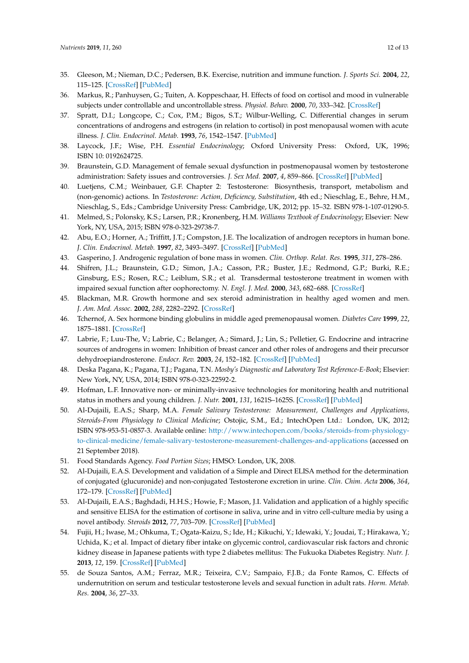- <span id="page-11-0"></span>35. Gleeson, M.; Nieman, D.C.; Pedersen, B.K. Exercise, nutrition and immune function. *J. Sports Sci.* **2004**, *22*, 115–125. [\[CrossRef\]](http://dx.doi.org/10.1080/0264041031000140590) [\[PubMed\]](http://www.ncbi.nlm.nih.gov/pubmed/14971437)
- <span id="page-11-1"></span>36. Markus, R.; Panhuysen, G.; Tuiten, A. Koppeschaar, H. Effects of food on cortisol and mood in vulnerable subjects under controllable and uncontrollable stress. *Physiol. Behav.* **2000**, *70*, 333–342. [\[CrossRef\]](http://dx.doi.org/10.1016/S0031-9384(00)00265-1)
- <span id="page-11-2"></span>37. Spratt, D.I.; Longcope, C.; Cox, P.M.; Bigos, S.T.; Wilbur-Welling, C. Differential changes in serum concentrations of androgens and estrogens (in relation to cortisol) in post menopausal women with acute illness. *J. Clin. Endocrinol. Metab.* **1993**, *76*, 1542–1547. [\[PubMed\]](http://www.ncbi.nlm.nih.gov/pubmed/8501162)
- <span id="page-11-3"></span>38. Laycock, J.F.; Wise, P.H. *Essential Endocrinology*; Oxford University Press: Oxford, UK, 1996; ISBN 10: 0192624725.
- <span id="page-11-4"></span>39. Braunstein, G.D. Management of female sexual dysfunction in postmenopausal women by testosterone administration: Safety issues and controversies. *J. Sex Med.* **2007**, *4*, 859–866. [\[CrossRef\]](http://dx.doi.org/10.1111/j.1743-6109.2007.00516.x) [\[PubMed\]](http://www.ncbi.nlm.nih.gov/pubmed/17627735)
- <span id="page-11-5"></span>40. Luetjens, C.M.; Weinbauer, G.F. Chapter 2: Testosterone: Biosynthesis, transport, metabolism and (non-genomic) actions. In *Testosterone: Action, Deficiency, Substitution*, 4th ed.; Nieschlag, E., Behre, H.M., Nieschlag, S., Eds.; Cambridge University Press: Cambridge, UK, 2012; pp. 15–32. ISBN 978-1-107-01290-5.
- 41. Melmed, S.; Polonsky, K.S.; Larsen, P.R.; Kronenberg, H.M. *Williams Textbook of Endocrinology*; Elsevier: New York, NY, USA, 2015; ISBN 978-0-323-29738-7.
- 42. Abu, E.O.; Horner, A.; Triffitt, J.T.; Compston, J.E. The localization of androgen receptors in human bone. *J. Clin. Endocrinol. Metab.* **1997**, *82*, 3493–3497. [\[CrossRef\]](http://dx.doi.org/10.1210/jcem.82.10.4319) [\[PubMed\]](http://www.ncbi.nlm.nih.gov/pubmed/9329391)
- <span id="page-11-7"></span><span id="page-11-6"></span>43. Gasperino, J. Androgenic regulation of bone mass in women. *Clin. Orthop. Relat. Res.* **1995**, *311*, 278–286.
- 44. Shifren, J.L.; Braunstein, G.D.; Simon, J.A.; Casson, P.R.; Buster, J.E.; Redmond, G.P.; Burki, R.E.; Ginsburg, E.S.; Rosen, R.C.; Leiblum, S.R.; et al. Transdermal testosterone treatment in women with impaired sexual function after oophorectomy. *N. Engl. J. Med.* **2000**, *343*, 682–688. [\[CrossRef\]](http://dx.doi.org/10.1056/NEJM200009073431002)
- <span id="page-11-8"></span>45. Blackman, M.R. Growth hormone and sex steroid administration in healthy aged women and men. *J. Am. Med. Assoc.* **2002**, *288*, 2282–2292. [\[CrossRef\]](http://dx.doi.org/10.1001/jama.288.18.2282)
- <span id="page-11-9"></span>46. Tchernof, A. Sex hormone binding globulins in middle aged premenopausal women. *Diabetes Care* **1999**, *22*, 1875–1881. [\[CrossRef\]](http://dx.doi.org/10.2337/diacare.22.11.1875)
- <span id="page-11-10"></span>47. Labrie, F.; Luu-The, V.; Labrie, C.; Belanger, A.; Simard, J.; Lin, S.; Pelletier, G. Endocrine and intracrine sources of androgens in women: Inhibition of breast cancer and other roles of androgens and their precursor dehydroepiandrosterone. *Endocr. Rev.* **2003**, *24*, 152–182. [\[CrossRef\]](http://dx.doi.org/10.1210/er.2001-0031) [\[PubMed\]](http://www.ncbi.nlm.nih.gov/pubmed/12700178)
- <span id="page-11-11"></span>48. Deska Pagana, K.; Pagana, T.J.; Pagana, T.N. *Mosby's Diagnostic and Laboratory Test Reference-E-Book*; Elsevier: New York, NY, USA, 2014; ISBN 978-0-323-22592-2.
- <span id="page-11-12"></span>49. Hofman, L.F. Innovative non- or minimally-invasive technologies for monitoring health and nutritional status in mothers and young children. *J. Nutr.* **2001**, *131*, 1621S–1625S. [\[CrossRef\]](http://dx.doi.org/10.1093/jn/131.5.1621S) [\[PubMed\]](http://www.ncbi.nlm.nih.gov/pubmed/11340128)
- <span id="page-11-13"></span>50. Al-Dujaili, E.A.S.; Sharp, M.A. *Female Salivary Testosterone: Measurement, Challenges and Applications, Steroids-From Physiology to Clinical Medicine*; Ostojic, S.M., Ed.; IntechOpen Ltd.: London, UK, 2012; ISBN 978-953-51-0857-3. Available online: [http://www.intechopen.com/books/steroids-from-physiology](http://www.intechopen.com/books/steroids-from-physiology-to-clinical-medicine/female-salivary-testosterone-measurement-challenges-and-applications)[to-clinical-medicine/female-salivary-testosterone-measurement-challenges-and-applications](http://www.intechopen.com/books/steroids-from-physiology-to-clinical-medicine/female-salivary-testosterone-measurement-challenges-and-applications) (accessed on 21 September 2018).
- <span id="page-11-14"></span>51. Food Standards Agency. *Food Portion Sizes*; HMSO: London, UK, 2008.
- <span id="page-11-15"></span>52. Al-Dujaili, E.A.S. Development and validation of a Simple and Direct ELISA method for the determination of conjugated (glucuronide) and non-conjugated Testosterone excretion in urine. *Clin. Chim. Acta* **2006**, *364*, 172–179. [\[CrossRef\]](http://dx.doi.org/10.1016/j.cccn.2005.06.019) [\[PubMed\]](http://www.ncbi.nlm.nih.gov/pubmed/16098502)
- <span id="page-11-16"></span>53. Al-Dujaili, E.A.S.; Baghdadi, H.H.S.; Howie, F.; Mason, J.I. Validation and application of a highly specific and sensitive ELISA for the estimation of cortisone in saliva, urine and in vitro cell-culture media by using a novel antibody. *Steroids* **2012**, *77*, 703–709. [\[CrossRef\]](http://dx.doi.org/10.1016/j.steroids.2012.03.001) [\[PubMed\]](http://www.ncbi.nlm.nih.gov/pubmed/22429925)
- <span id="page-11-17"></span>54. Fujii, H.; Iwase, M.; Ohkuma, T.; Ogata-Kaizu, S.; Ide, H.; Kikuchi, Y.; Idewaki, Y.; Joudai, T.; Hirakawa, Y.; Uchida, K.; et al. Impact of dietary fiber intake on glycemic control, cardiovascular risk factors and chronic kidney disease in Japanese patients with type 2 diabetes mellitus: The Fukuoka Diabetes Registry. *Nutr. J.* **2013**, *12*, 159. [\[CrossRef\]](http://dx.doi.org/10.1186/1475-2891-12-159) [\[PubMed\]](http://www.ncbi.nlm.nih.gov/pubmed/24330576)
- <span id="page-11-18"></span>55. de Souza Santos, A.M.; Ferraz, M.R.; Teixeira, C.V.; Sampaio, F.J.B.; da Fonte Ramos, C. Effects of undernutrition on serum and testicular testosterone levels and sexual function in adult rats. *Horm. Metab. Res.* **2004**, *36*, 27–33.